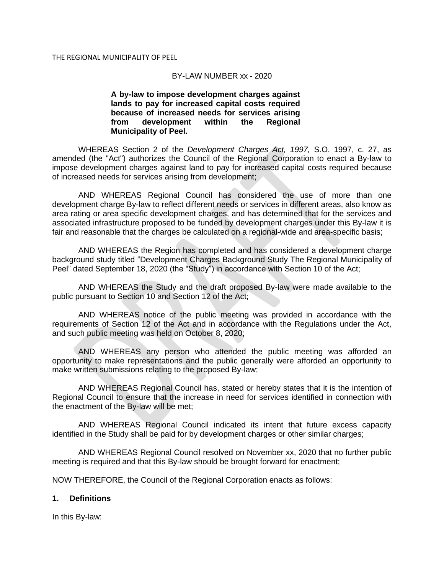#### BY-LAW NUMBER xx - 2020

**A by-law to impose development charges against lands to pay for increased capital costs required because of increased needs for services arising from development within the Regional Municipality of Peel.**

WHEREAS Section 2 of the *Development Charges Act, 1997,* S.O. 1997, c. 27, as amended (the "Act") authorizes the Council of the Regional Corporation to enact a By-law to impose development charges against land to pay for increased capital costs required because of increased needs for services arising from development;

AND WHEREAS Regional Council has considered the use of more than one development charge By-law to reflect different needs or services in different areas, also know as area rating or area specific development charges, and has determined that for the services and associated infrastructure proposed to be funded by development charges under this By-law it is fair and reasonable that the charges be calculated on a regional-wide and area-specific basis;

AND WHEREAS the Region has completed and has considered a development charge background study titled "Development Charges Background Study The Regional Municipality of Peel" dated September 18, 2020 (the "Study") in accordance with Section 10 of the Act;

AND WHEREAS the Study and the draft proposed By-law were made available to the public pursuant to Section 10 and Section 12 of the Act;

AND WHEREAS notice of the public meeting was provided in accordance with the requirements of Section 12 of the Act and in accordance with the Regulations under the Act, and such public meeting was held on October 8, 2020;

AND WHEREAS any person who attended the public meeting was afforded an opportunity to make representations and the public generally were afforded an opportunity to make written submissions relating to the proposed By-law;

AND WHEREAS Regional Council has, stated or hereby states that it is the intention of Regional Council to ensure that the increase in need for services identified in connection with the enactment of the By-law will be met;

AND WHEREAS Regional Council indicated its intent that future excess capacity identified in the Study shall be paid for by development charges or other similar charges;

AND WHEREAS Regional Council resolved on November xx, 2020 that no further public meeting is required and that this By-law should be brought forward for enactment;

NOW THEREFORE, the Council of the Regional Corporation enacts as follows:

#### **1. Definitions**

In this By-law: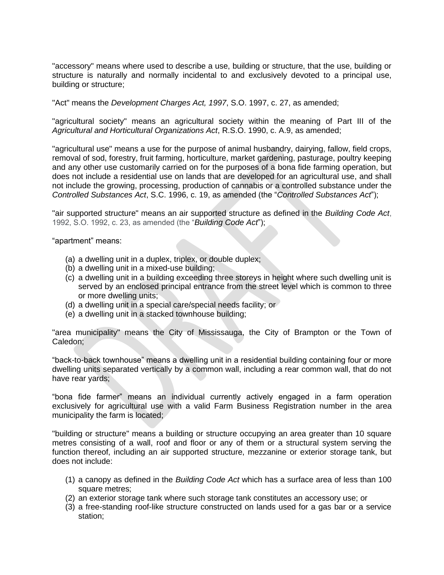"accessory" means where used to describe a use, building or structure, that the use, building or structure is naturally and normally incidental to and exclusively devoted to a principal use, building or structure;

"Act" means the *Development Charges Act, 1997*, S.O. 1997, c. 27, as amended;

"agricultural society" means an agricultural society within the meaning of Part III of the *Agricultural and Horticultural Organizations Act*, R.S.O. 1990, c. A.9, as amended;

"agricultural use" means a use for the purpose of animal husbandry, dairying, fallow, field crops, removal of sod, forestry, fruit farming, horticulture, market gardening, pasturage, poultry keeping and any other use customarily carried on for the purposes of a bona fide farming operation, but does not include a residential use on lands that are developed for an agricultural use, and shall not include the growing, processing, production of cannabis or a controlled substance under the *Controlled Substances Act*, S.C. 1996, c. 19, as amended (the "*Controlled Substances Act*");

"air supported structure" means an air supported structure as defined in the *Building Code Act*, 1992, S.O. 1992, c. 23, as amended (the "*Building Code Act*");

"apartment" means:

- (a) a dwelling unit in a duplex, triplex, or double duplex;
- (b) a dwelling unit in a mixed-use building;
- (c) a dwelling unit in a building exceeding three storeys in height where such dwelling unit is served by an enclosed principal entrance from the street level which is common to three or more dwelling units;
- (d) a dwelling unit in a special care/special needs facility; or
- (e) a dwelling unit in a stacked townhouse building;

"area municipality" means the City of Mississauga, the City of Brampton or the Town of Caledon;

"back-to-back townhouse" means a dwelling unit in a residential building containing four or more dwelling units separated vertically by a common wall, including a rear common wall, that do not have rear yards;

"bona fide farmer" means an individual currently actively engaged in a farm operation exclusively for agricultural use with a valid Farm Business Registration number in the area municipality the farm is located;

"building or structure" means a building or structure occupying an area greater than 10 square metres consisting of a wall, roof and floor or any of them or a structural system serving the function thereof, including an air supported structure, mezzanine or exterior storage tank, but does not include:

- (1) a canopy as defined in the *Building Code Act* which has a surface area of less than 100 square metres;
- (2) an exterior storage tank where such storage tank constitutes an accessory use; or
- (3) a free-standing roof-like structure constructed on lands used for a gas bar or a service station;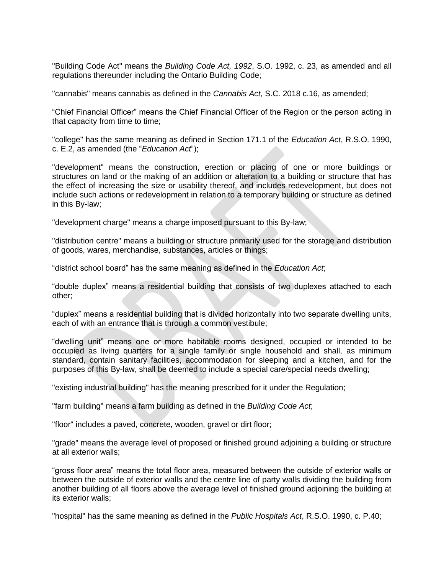"Building Code Act" means the *Building Code Act, 1992*, S.O. 1992, c. 23, as amended and all regulations thereunder including the Ontario Building Code;

"cannabis" means cannabis as defined in the *Cannabis Act,* S.C. 2018 c.16, as amended;

"Chief Financial Officer" means the Chief Financial Officer of the Region or the person acting in that capacity from time to time;

"college" has the same meaning as defined in Section 171.1 of the *Education Act*, R.S.O. 1990, c. E.2, as amended (the "*Education Act*");

"development" means the construction, erection or placing of one or more buildings or structures on land or the making of an addition or alteration to a building or structure that has the effect of increasing the size or usability thereof, and includes redevelopment, but does not include such actions or redevelopment in relation to a temporary building or structure as defined in this By-law;

"development charge" means a charge imposed pursuant to this By-law;

"distribution centre" means a building or structure primarily used for the storage and distribution of goods, wares, merchandise, substances, articles or things;

"district school board" has the same meaning as defined in the *Education Act*;

"double duplex" means a residential building that consists of two duplexes attached to each other;

"duplex" means a residential building that is divided horizontally into two separate dwelling units, each of with an entrance that is through a common vestibule;

"dwelling unit" means one or more habitable rooms designed, occupied or intended to be occupied as living quarters for a single family or single household and shall, as minimum standard, contain sanitary facilities, accommodation for sleeping and a kitchen, and for the purposes of this By-law, shall be deemed to include a special care/special needs dwelling;

"existing industrial building" has the meaning prescribed for it under the Regulation;

"farm building" means a farm building as defined in the *Building Code Act*;

"floor" includes a paved, concrete, wooden, gravel or dirt floor;

"grade" means the average level of proposed or finished ground adjoining a building or structure at all exterior walls;

"gross floor area" means the total floor area, measured between the outside of exterior walls or between the outside of exterior walls and the centre line of party walls dividing the building from another building of all floors above the average level of finished ground adjoining the building at its exterior walls;

"hospital" has the same meaning as defined in the *Public Hospitals Act*, R.S.O. 1990, c. P.40;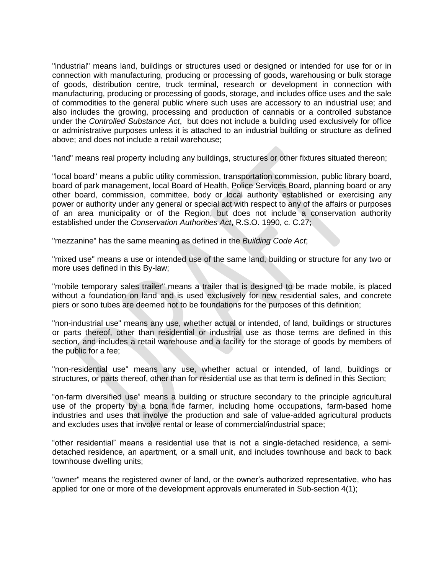"industrial" means land, buildings or structures used or designed or intended for use for or in connection with manufacturing, producing or processing of goods, warehousing or bulk storage of goods, distribution centre, truck terminal, research or development in connection with manufacturing, producing or processing of goods, storage, and includes office uses and the sale of commodities to the general public where such uses are accessory to an industrial use; and also includes the growing, processing and production of cannabis or a controlled substance under the *Controlled Substance Act*, but does not include a building used exclusively for office or administrative purposes unless it is attached to an industrial building or structure as defined above; and does not include a retail warehouse;

"land" means real property including any buildings, structures or other fixtures situated thereon;

"local board" means a public utility commission, transportation commission, public library board, board of park management, local Board of Health, Police Services Board, planning board or any other board, commission, committee, body or local authority established or exercising any power or authority under any general or special act with respect to any of the affairs or purposes of an area municipality or of the Region, but does not include a conservation authority established under the *Conservation Authorities Act*, R.S.O. 1990, c. C.27;

"mezzanine" has the same meaning as defined in the *Building Code Act*;

"mixed use" means a use or intended use of the same land, building or structure for any two or more uses defined in this By-law;

"mobile temporary sales trailer" means a trailer that is designed to be made mobile, is placed without a foundation on land and is used exclusively for new residential sales, and concrete piers or sono tubes are deemed not to be foundations for the purposes of this definition;

"non-industrial use" means any use, whether actual or intended, of land, buildings or structures or parts thereof, other than residential or industrial use as those terms are defined in this section, and includes a retail warehouse and a facility for the storage of goods by members of the public for a fee;

"non-residential use" means any use, whether actual or intended, of land, buildings or structures, or parts thereof, other than for residential use as that term is defined in this Section;

"on-farm diversified use" means a building or structure secondary to the principle agricultural use of the property by a bona fide farmer, including home occupations, farm-based home industries and uses that involve the production and sale of value-added agricultural products and excludes uses that involve rental or lease of commercial/industrial space;

"other residential" means a residential use that is not a single-detached residence, a semidetached residence, an apartment, or a small unit, and includes townhouse and back to back townhouse dwelling units;

"owner" means the registered owner of land, or the owner's authorized representative, who has applied for one or more of the development approvals enumerated in Sub-section 4(1);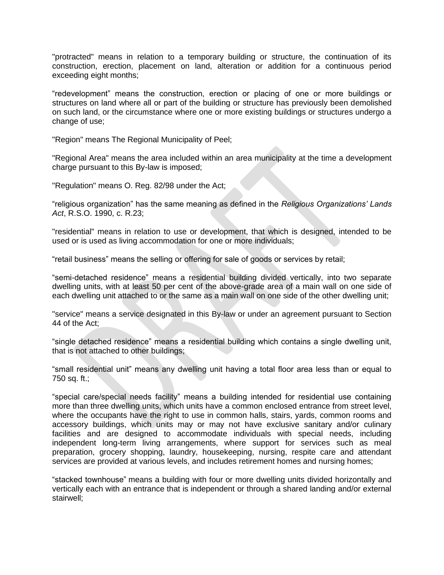"protracted" means in relation to a temporary building or structure, the continuation of its construction, erection, placement on land, alteration or addition for a continuous period exceeding eight months;

"redevelopment" means the construction, erection or placing of one or more buildings or structures on land where all or part of the building or structure has previously been demolished on such land, or the circumstance where one or more existing buildings or structures undergo a change of use;

"Region" means The Regional Municipality of Peel;

"Regional Area" means the area included within an area municipality at the time a development charge pursuant to this By-law is imposed;

"Regulation" means O. Reg. 82/98 under the Act;

"religious organization" has the same meaning as defined in the *Religious Organizations' Lands Act*, R.S.O. 1990, c. R.23;

"residential" means in relation to use or development, that which is designed, intended to be used or is used as living accommodation for one or more individuals;

"retail business" means the selling or offering for sale of goods or services by retail;

"semi-detached residence" means a residential building divided vertically, into two separate dwelling units, with at least 50 per cent of the above-grade area of a main wall on one side of each dwelling unit attached to or the same as a main wall on one side of the other dwelling unit;

"service" means a service designated in this By-law or under an agreement pursuant to Section 44 of the Act;

"single detached residence" means a residential building which contains a single dwelling unit, that is not attached to other buildings;

"small residential unit" means any dwelling unit having a total floor area less than or equal to 750 sq. ft.;

"special care/special needs facility" means a building intended for residential use containing more than three dwelling units, which units have a common enclosed entrance from street level, where the occupants have the right to use in common halls, stairs, yards, common rooms and accessory buildings, which units may or may not have exclusive sanitary and/or culinary facilities and are designed to accommodate individuals with special needs, including independent long-term living arrangements, where support for services such as meal preparation, grocery shopping, laundry, housekeeping, nursing, respite care and attendant services are provided at various levels, and includes retirement homes and nursing homes;

"stacked townhouse" means a building with four or more dwelling units divided horizontally and vertically each with an entrance that is independent or through a shared landing and/or external stairwell;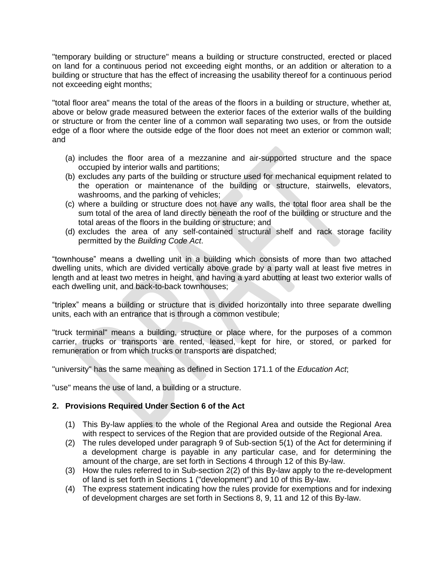"temporary building or structure" means a building or structure constructed, erected or placed on land for a continuous period not exceeding eight months, or an addition or alteration to a building or structure that has the effect of increasing the usability thereof for a continuous period not exceeding eight months;

"total floor area" means the total of the areas of the floors in a building or structure, whether at, above or below grade measured between the exterior faces of the exterior walls of the building or structure or from the center line of a common wall separating two uses, or from the outside edge of a floor where the outside edge of the floor does not meet an exterior or common wall; and

- (a) includes the floor area of a mezzanine and air-supported structure and the space occupied by interior walls and partitions;
- (b) excludes any parts of the building or structure used for mechanical equipment related to the operation or maintenance of the building or structure, stairwells, elevators, washrooms, and the parking of vehicles;
- (c) where a building or structure does not have any walls, the total floor area shall be the sum total of the area of land directly beneath the roof of the building or structure and the total areas of the floors in the building or structure; and
- (d) excludes the area of any self-contained structural shelf and rack storage facility permitted by the *Building Code Act*.

"townhouse" means a dwelling unit in a building which consists of more than two attached dwelling units, which are divided vertically above grade by a party wall at least five metres in length and at least two metres in height, and having a yard abutting at least two exterior walls of each dwelling unit, and back-to-back townhouses;

"triplex" means a building or structure that is divided horizontally into three separate dwelling units, each with an entrance that is through a common vestibule;

"truck terminal" means a building, structure or place where, for the purposes of a common carrier, trucks or transports are rented, leased, kept for hire, or stored, or parked for remuneration or from which trucks or transports are dispatched;

"university" has the same meaning as defined in Section 171.1 of the *Education Act*;

"use" means the use of land, a building or a structure.

## **2. Provisions Required Under Section 6 of the Act**

- (1) This By-law applies to the whole of the Regional Area and outside the Regional Area with respect to services of the Region that are provided outside of the Regional Area.
- (2) The rules developed under paragraph 9 of Sub-section 5(1) of the Act for determining if a development charge is payable in any particular case, and for determining the amount of the charge, are set forth in Sections 4 through 12 of this By-law.
- (3) How the rules referred to in Sub-section 2(2) of this By-law apply to the re-development of land is set forth in Sections 1 ("development") and 10 of this By-law.
- (4) The express statement indicating how the rules provide for exemptions and for indexing of development charges are set forth in Sections 8, 9, 11 and 12 of this By-law.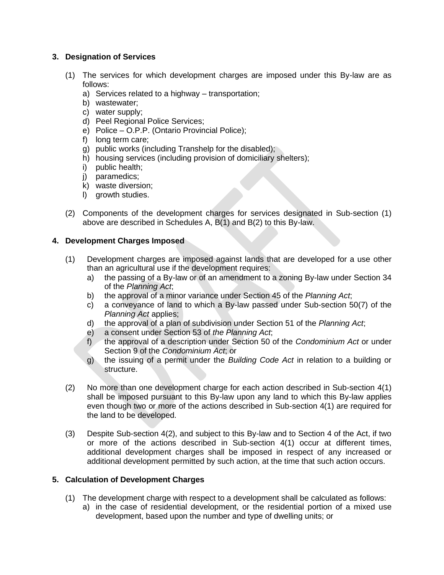## **3. Designation of Services**

- (1) The services for which development charges are imposed under this By-law are as follows:
	- a) Services related to a highway transportation;
	- b) wastewater;
	- c) water supply;
	- d) Peel Regional Police Services;
	- e) Police O.P.P. (Ontario Provincial Police);
	- f) long term care;
	- g) public works (including Transhelp for the disabled);
	- h) housing services (including provision of domiciliary shelters);
	- i) public health;
	- j) paramedics;
	- k) waste diversion;
	- l) growth studies.
- (2) Components of the development charges for services designated in Sub-section (1) above are described in Schedules A, B(1) and B(2) to this By-law.

## **4. Development Charges Imposed**

- (1) Development charges are imposed against lands that are developed for a use other than an agricultural use if the development requires:
	- a) the passing of a By-law or of an amendment to a zoning By-law under Section 34 of the *Planning Act*;
	- b) the approval of a minor variance under Section 45 of the *Planning Act*;
	- c) a conveyance of land to which a By-law passed under Sub-section 50(7) of the *Planning Act* applies;
	- d) the approval of a plan of subdivision under Section 51 of the *Planning Act*;
	- e) a consent under Section 53 of *the Planning Act*;
	- f) the approval of a description under Section 50 of the *Condominium Act* or under Section 9 of the *Condominium Act*; or
	- g) the issuing of a permit under the *Building Code Act* in relation to a building or structure.
- (2) No more than one development charge for each action described in Sub-section 4(1) shall be imposed pursuant to this By-law upon any land to which this By-law applies even though two or more of the actions described in Sub-section 4(1) are required for the land to be developed.
- (3) Despite Sub-section 4(2), and subject to this By-law and to Section 4 of the Act, if two or more of the actions described in Sub-section 4(1) occur at different times, additional development charges shall be imposed in respect of any increased or additional development permitted by such action, at the time that such action occurs.

## **5. Calculation of Development Charges**

- (1) The development charge with respect to a development shall be calculated as follows:
	- a) in the case of residential development, or the residential portion of a mixed use development, based upon the number and type of dwelling units; or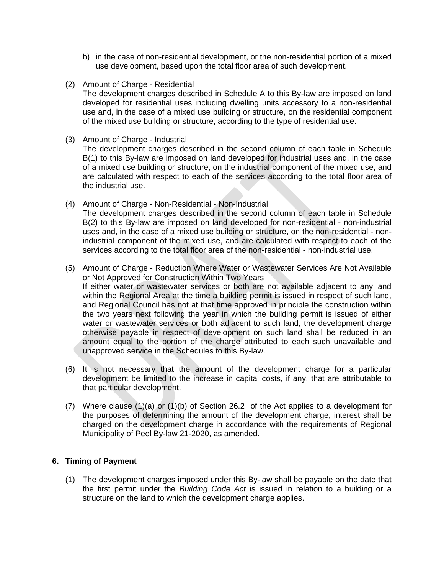- b) in the case of non-residential development, or the non-residential portion of a mixed use development, based upon the total floor area of such development.
- (2) Amount of Charge Residential The development charges described in Schedule A to this By-law are imposed on land developed for residential uses including dwelling units accessory to a non-residential use and, in the case of a mixed use building or structure, on the residential component of the mixed use building or structure, according to the type of residential use.
- (3) Amount of Charge Industrial The development charges described in the second column of each table in Schedule B(1) to this By-law are imposed on land developed for industrial uses and, in the case of a mixed use building or structure, on the industrial component of the mixed use, and are calculated with respect to each of the services according to the total floor area of the industrial use.
- (4) Amount of Charge Non-Residential Non-Industrial The development charges described in the second column of each table in Schedule B(2) to this By-law are imposed on land developed for non-residential - non-industrial uses and, in the case of a mixed use building or structure, on the non-residential - nonindustrial component of the mixed use, and are calculated with respect to each of the services according to the total floor area of the non-residential - non-industrial use.
- (5) Amount of Charge Reduction Where Water or Wastewater Services Are Not Available or Not Approved for Construction Within Two Years If either water or wastewater services or both are not available adjacent to any land within the Regional Area at the time a building permit is issued in respect of such land, and Regional Council has not at that time approved in principle the construction within the two years next following the year in which the building permit is issued of either water or wastewater services or both adjacent to such land, the development charge otherwise payable in respect of development on such land shall be reduced in an amount equal to the portion of the charge attributed to each such unavailable and unapproved service in the Schedules to this By-law.
- (6) It is not necessary that the amount of the development charge for a particular development be limited to the increase in capital costs, if any, that are attributable to that particular development.
- (7) Where clause (1)(a) or (1)(b) of Section 26.2 of the Act applies to a development for the purposes of determining the amount of the development charge, interest shall be charged on the development charge in accordance with the requirements of Regional Municipality of Peel By-law 21-2020, as amended.

## **6. Timing of Payment**

(1) The development charges imposed under this By-law shall be payable on the date that the first permit under the *Building Code Act* is issued in relation to a building or a structure on the land to which the development charge applies.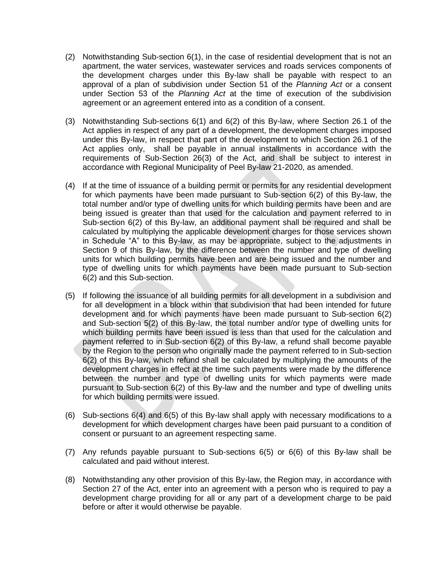- (2) Notwithstanding Sub-section 6(1), in the case of residential development that is not an apartment, the water services, wastewater services and roads services components of the development charges under this By-law shall be payable with respect to an approval of a plan of subdivision under Section 51 of the *Planning Act* or a consent under Section 53 of the *Planning Act* at the time of execution of the subdivision agreement or an agreement entered into as a condition of a consent.
- (3) Notwithstanding Sub-sections 6(1) and 6(2) of this By-law, where Section 26.1 of the Act applies in respect of any part of a development, the development charges imposed under this By-law, in respect that part of the development to which Section 26.1 of the Act applies only, shall be payable in annual installments in accordance with the requirements of Sub-Section 26(3) of the Act, and shall be subject to interest in accordance with Regional Municipality of Peel By-law 21-2020, as amended.
- (4) If at the time of issuance of a building permit or permits for any residential development for which payments have been made pursuant to Sub-section 6(2) of this By-law, the total number and/or type of dwelling units for which building permits have been and are being issued is greater than that used for the calculation and payment referred to in Sub-section 6(2) of this By-law, an additional payment shall be required and shall be calculated by multiplying the applicable development charges for those services shown in Schedule "A" to this By-law, as may be appropriate, subject to the adjustments in Section 9 of this By-law, by the difference between the number and type of dwelling units for which building permits have been and are being issued and the number and type of dwelling units for which payments have been made pursuant to Sub-section 6(2) and this Sub-section.
- (5) If following the issuance of all building permits for all development in a subdivision and for all development in a block within that subdivision that had been intended for future development and for which payments have been made pursuant to Sub-section 6(2) and Sub-section 5(2) of this By-law, the total number and/or type of dwelling units for which building permits have been issued is less than that used for the calculation and payment referred to in Sub-section 6(2) of this By-law, a refund shall become payable by the Region to the person who originally made the payment referred to in Sub-section 6(2) of this By-law, which refund shall be calculated by multiplying the amounts of the development charges in effect at the time such payments were made by the difference between the number and type of dwelling units for which payments were made pursuant to Sub-section 6(2) of this By-law and the number and type of dwelling units for which building permits were issued.
- (6) Sub-sections 6(4) and 6(5) of this By-law shall apply with necessary modifications to a development for which development charges have been paid pursuant to a condition of consent or pursuant to an agreement respecting same.
- (7) Any refunds payable pursuant to Sub-sections 6(5) or 6(6) of this By-law shall be calculated and paid without interest.
- (8) Notwithstanding any other provision of this By-law, the Region may, in accordance with Section 27 of the Act, enter into an agreement with a person who is required to pay a development charge providing for all or any part of a development charge to be paid before or after it would otherwise be payable.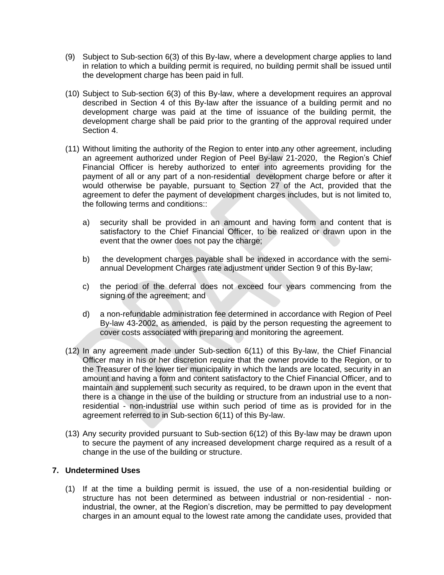- (9) Subject to Sub-section 6(3) of this By-law, where a development charge applies to land in relation to which a building permit is required, no building permit shall be issued until the development charge has been paid in full.
- (10) Subject to Sub-section 6(3) of this By-law, where a development requires an approval described in Section 4 of this By-law after the issuance of a building permit and no development charge was paid at the time of issuance of the building permit, the development charge shall be paid prior to the granting of the approval required under Section 4.
- (11) Without limiting the authority of the Region to enter into any other agreement, including an agreement authorized under Region of Peel By-law 21-2020, the Region's Chief Financial Officer is hereby authorized to enter into agreements providing for the payment of all or any part of a non-residential development charge before or after it would otherwise be payable, pursuant to Section 27 of the Act, provided that the agreement to defer the payment of development charges includes, but is not limited to, the following terms and conditions::
	- a) security shall be provided in an amount and having form and content that is satisfactory to the Chief Financial Officer, to be realized or drawn upon in the event that the owner does not pay the charge;
	- b) the development charges payable shall be indexed in accordance with the semiannual Development Charges rate adjustment under Section 9 of this By-law;
	- c) the period of the deferral does not exceed four years commencing from the signing of the agreement; and
	- d) a non-refundable administration fee determined in accordance with Region of Peel By-law 43-2002, as amended, is paid by the person requesting the agreement to cover costs associated with preparing and monitoring the agreement.
- (12) In any agreement made under Sub-section 6(11) of this By-law, the Chief Financial Officer may in his or her discretion require that the owner provide to the Region, or to the Treasurer of the lower tier municipality in which the lands are located, security in an amount and having a form and content satisfactory to the Chief Financial Officer, and to maintain and supplement such security as required, to be drawn upon in the event that there is a change in the use of the building or structure from an industrial use to a nonresidential - non-industrial use within such period of time as is provided for in the agreement referred to in Sub-section 6(11) of this By-law.
- (13) Any security provided pursuant to Sub-section 6(12) of this By-law may be drawn upon to secure the payment of any increased development charge required as a result of a change in the use of the building or structure.

## **7. Undetermined Uses**

(1) If at the time a building permit is issued, the use of a non-residential building or structure has not been determined as between industrial or non-residential - nonindustrial, the owner, at the Region's discretion, may be permitted to pay development charges in an amount equal to the lowest rate among the candidate uses, provided that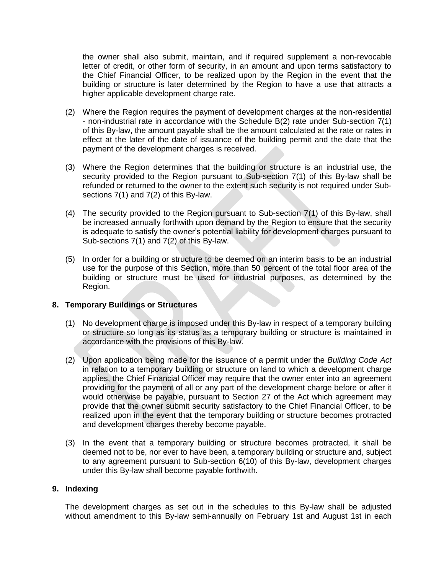the owner shall also submit, maintain, and if required supplement a non-revocable letter of credit, or other form of security, in an amount and upon terms satisfactory to the Chief Financial Officer, to be realized upon by the Region in the event that the building or structure is later determined by the Region to have a use that attracts a higher applicable development charge rate.

- (2) Where the Region requires the payment of development charges at the non-residential - non-industrial rate in accordance with the Schedule B(2) rate under Sub-section 7(1) of this By-law, the amount payable shall be the amount calculated at the rate or rates in effect at the later of the date of issuance of the building permit and the date that the payment of the development charges is received.
- (3) Where the Region determines that the building or structure is an industrial use, the security provided to the Region pursuant to Sub-section 7(1) of this By-law shall be refunded or returned to the owner to the extent such security is not required under Subsections 7(1) and 7(2) of this By-law.
- (4) The security provided to the Region pursuant to Sub-section 7(1) of this By-law, shall be increased annually forthwith upon demand by the Region to ensure that the security is adequate to satisfy the owner's potential liability for development charges pursuant to Sub-sections 7(1) and 7(2) of this By-law.
- (5) In order for a building or structure to be deemed on an interim basis to be an industrial use for the purpose of this Section, more than 50 percent of the total floor area of the building or structure must be used for industrial purposes, as determined by the Region.

#### **8. Temporary Buildings or Structures**

- (1) No development charge is imposed under this By-law in respect of a temporary building or structure so long as its status as a temporary building or structure is maintained in accordance with the provisions of this By-law.
- (2) Upon application being made for the issuance of a permit under the *Building Code Act* in relation to a temporary building or structure on land to which a development charge applies, the Chief Financial Officer may require that the owner enter into an agreement providing for the payment of all or any part of the development charge before or after it would otherwise be payable, pursuant to Section 27 of the Act which agreement may provide that the owner submit security satisfactory to the Chief Financial Officer, to be realized upon in the event that the temporary building or structure becomes protracted and development charges thereby become payable.
- (3) In the event that a temporary building or structure becomes protracted, it shall be deemed not to be, nor ever to have been, a temporary building or structure and, subject to any agreement pursuant to Sub-section 6(10) of this By-law, development charges under this By-law shall become payable forthwith.

### **9. Indexing**

The development charges as set out in the schedules to this By-law shall be adjusted without amendment to this By-law semi-annually on February 1st and August 1st in each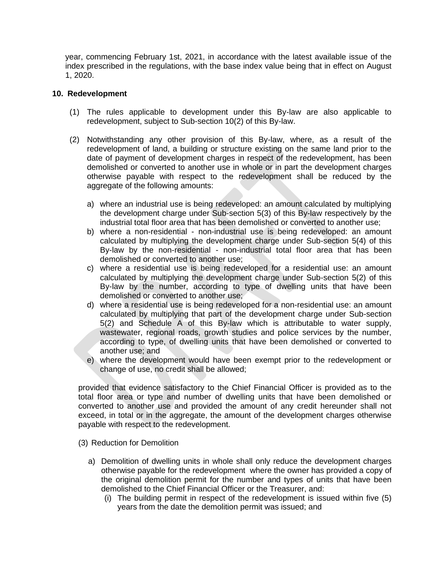year, commencing February 1st, 2021, in accordance with the latest available issue of the index prescribed in the regulations, with the base index value being that in effect on August 1, 2020.

#### **10. Redevelopment**

- (1) The rules applicable to development under this By-law are also applicable to redevelopment, subject to Sub-section 10(2) of this By-law.
- (2) Notwithstanding any other provision of this By-law, where, as a result of the redevelopment of land, a building or structure existing on the same land prior to the date of payment of development charges in respect of the redevelopment, has been demolished or converted to another use in whole or in part the development charges otherwise payable with respect to the redevelopment shall be reduced by the aggregate of the following amounts:
	- a) where an industrial use is being redeveloped: an amount calculated by multiplying the development charge under Sub-section 5(3) of this By-law respectively by the industrial total floor area that has been demolished or converted to another use;
	- b) where a non-residential non-industrial use is being redeveloped: an amount calculated by multiplying the development charge under Sub-section 5(4) of this By-law by the non-residential - non-industrial total floor area that has been demolished or converted to another use;
	- c) where a residential use is being redeveloped for a residential use: an amount calculated by multiplying the development charge under Sub-section 5(2) of this By-law by the number, according to type of dwelling units that have been demolished or converted to another use;
	- d) where a residential use is being redeveloped for a non-residential use: an amount calculated by multiplying that part of the development charge under Sub-section 5(2) and Schedule A of this By-law which is attributable to water supply, wastewater, regional roads, growth studies and police services by the number, according to type, of dwelling units that have been demolished or converted to another use; and
	- e) where the development would have been exempt prior to the redevelopment or change of use, no credit shall be allowed;

provided that evidence satisfactory to the Chief Financial Officer is provided as to the total floor area or type and number of dwelling units that have been demolished or converted to another use and provided the amount of any credit hereunder shall not exceed, in total or in the aggregate, the amount of the development charges otherwise payable with respect to the redevelopment.

- (3) Reduction for Demolition
	- a) Demolition of dwelling units in whole shall only reduce the development charges otherwise payable for the redevelopment where the owner has provided a copy of the original demolition permit for the number and types of units that have been demolished to the Chief Financial Officer or the Treasurer, and:
		- (i) The building permit in respect of the redevelopment is issued within five (5) years from the date the demolition permit was issued; and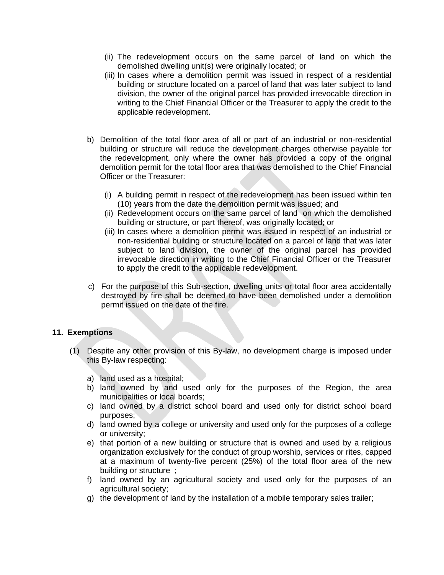- (ii) The redevelopment occurs on the same parcel of land on which the demolished dwelling unit(s) were originally located; or
- (iii) In cases where a demolition permit was issued in respect of a residential building or structure located on a parcel of land that was later subject to land division, the owner of the original parcel has provided irrevocable direction in writing to the Chief Financial Officer or the Treasurer to apply the credit to the applicable redevelopment.
- b) Demolition of the total floor area of all or part of an industrial or non-residential building or structure will reduce the development charges otherwise payable for the redevelopment, only where the owner has provided a copy of the original demolition permit for the total floor area that was demolished to the Chief Financial Officer or the Treasurer:
	- (i) A building permit in respect of the redevelopment has been issued within ten (10) years from the date the demolition permit was issued; and
	- (ii) Redevelopment occurs on the same parcel of land on which the demolished building or structure, or part thereof, was originally located; or
	- (iii) In cases where a demolition permit was issued in respect of an industrial or non-residential building or structure located on a parcel of land that was later subject to land division, the owner of the original parcel has provided irrevocable direction in writing to the Chief Financial Officer or the Treasurer to apply the credit to the applicable redevelopment.
- c) For the purpose of this Sub-section, dwelling units or total floor area accidentally destroyed by fire shall be deemed to have been demolished under a demolition permit issued on the date of the fire.

#### **11. Exemptions**

- (1) Despite any other provision of this By-law, no development charge is imposed under this By-law respecting:
	- a) land used as a hospital;
	- b) land owned by and used only for the purposes of the Region, the area municipalities or local boards;
	- c) land owned by a district school board and used only for district school board purposes;
	- d) land owned by a college or university and used only for the purposes of a college or university;
	- e) that portion of a new building or structure that is owned and used by a religious organization exclusively for the conduct of group worship, services or rites, capped at a maximum of twenty-five percent (25%) of the total floor area of the new building or structure ;
	- f) land owned by an agricultural society and used only for the purposes of an agricultural society;
	- g) the development of land by the installation of a mobile temporary sales trailer;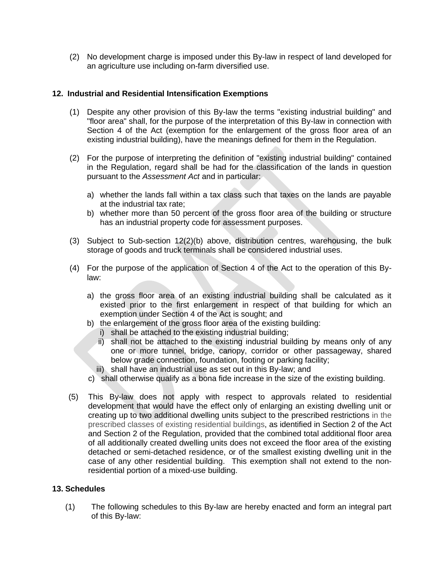(2) No development charge is imposed under this By-law in respect of land developed for an agriculture use including on-farm diversified use.

## **12. Industrial and Residential Intensification Exemptions**

- (1) Despite any other provision of this By-law the terms "existing industrial building" and "floor area" shall, for the purpose of the interpretation of this By-law in connection with Section 4 of the Act (exemption for the enlargement of the gross floor area of an existing industrial building), have the meanings defined for them in the Regulation.
- (2) For the purpose of interpreting the definition of "existing industrial building" contained in the Regulation, regard shall be had for the classification of the lands in question pursuant to the *Assessment Act* and in particular:
	- a) whether the lands fall within a tax class such that taxes on the lands are payable at the industrial tax rate;
	- b) whether more than 50 percent of the gross floor area of the building or structure has an industrial property code for assessment purposes.
- (3) Subject to Sub-section 12(2)(b) above, distribution centres, warehousing, the bulk storage of goods and truck terminals shall be considered industrial uses.
- (4) For the purpose of the application of Section 4 of the Act to the operation of this Bylaw:
	- a) the gross floor area of an existing industrial building shall be calculated as it existed prior to the first enlargement in respect of that building for which an exemption under Section 4 of the Act is sought; and
	- b) the enlargement of the gross floor area of the existing building:
		- i) shall be attached to the existing industrial building;
		- ii) shall not be attached to the existing industrial building by means only of any one or more tunnel, bridge, canopy, corridor or other passageway, shared below grade connection, foundation, footing or parking facility;
		- iii) shall have an industrial use as set out in this By-law; and
	- c) shall otherwise qualify as a bona fide increase in the size of the existing building.
- (5) This By-law does not apply with respect to approvals related to residential development that would have the effect only of enlarging an existing dwelling unit or creating up to two additional dwelling units subject to the prescribed restrictions in the prescribed classes of existing residential buildings, as identified in Section 2 of the Act and Section 2 of the Regulation, provided that the combined total additional floor area of all additionally created dwelling units does not exceed the floor area of the existing detached or semi-detached residence, or of the smallest existing dwelling unit in the case of any other residential building. This exemption shall not extend to the nonresidential portion of a mixed-use building.

## **13. Schedules**

(1) The following schedules to this By-law are hereby enacted and form an integral part of this By-law: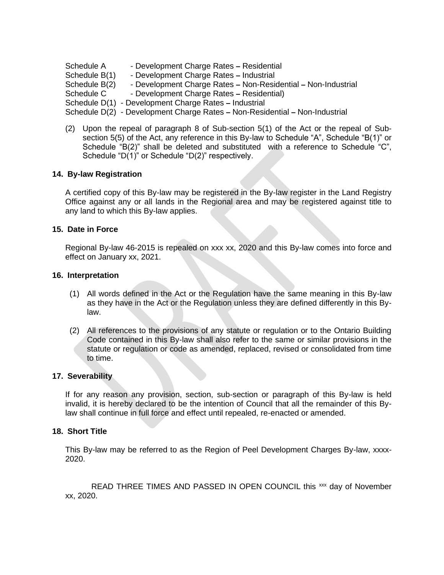Schedule A - Development Charge Rates **–** Residential

Schedule B(1) - Development Charge Rates **–** Industrial

Schedule B(2) - Development Charge Rates **–** Non-Residential **–** Non-Industrial

Schedule C - Development Charge Rates **–** Residential)

Schedule D(1) - Development Charge Rates **–** Industrial

Schedule D(2) - Development Charge Rates **–** Non-Residential **–** Non-Industrial

(2) Upon the repeal of paragraph 8 of Sub-section 5(1) of the Act or the repeal of Subsection 5(5) of the Act, any reference in this By-law to Schedule "A", Schedule "B(1)" or Schedule "B(2)" shall be deleted and substituted with a reference to Schedule "C", Schedule "D(1)" or Schedule "D(2)" respectively.

### **14. By-law Registration**

A certified copy of this By-law may be registered in the By-law register in the Land Registry Office against any or all lands in the Regional area and may be registered against title to any land to which this By-law applies.

### **15. Date in Force**

Regional By-law 46-2015 is repealed on xxx xx, 2020 and this By-law comes into force and effect on January xx, 2021.

#### **16. Interpretation**

- (1) All words defined in the Act or the Regulation have the same meaning in this By-law as they have in the Act or the Regulation unless they are defined differently in this Bylaw.
- (2) All references to the provisions of any statute or regulation or to the Ontario Building Code contained in this By-law shall also refer to the same or similar provisions in the statute or regulation or code as amended, replaced, revised or consolidated from time to time.

#### **17. Severability**

If for any reason any provision, section, sub-section or paragraph of this By-law is held invalid, it is hereby declared to be the intention of Council that all the remainder of this Bylaw shall continue in full force and effect until repealed, re-enacted or amended.

#### **18. Short Title**

This By-law may be referred to as the Region of Peel Development Charges By-law, xxxx-2020.

READ THREE TIMES AND PASSED IN OPEN COUNCIL this xxx day of November xx, 2020.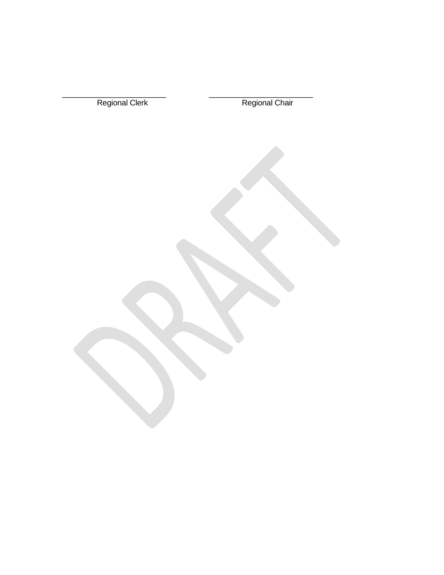| Regional Clerk | Regional Chair |
|----------------|----------------|
|                |                |
|                |                |
|                |                |
|                |                |
|                |                |
|                |                |
|                |                |
|                |                |
|                |                |
|                |                |
|                |                |
|                |                |
|                |                |
|                |                |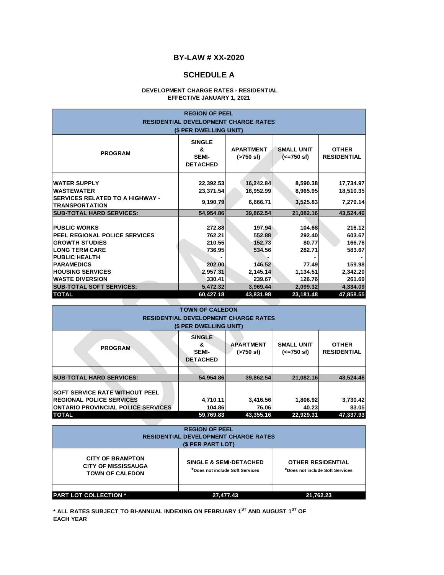#### **SCHEDULE A**

#### **DEVELOPMENT CHARGE RATES - RESIDENTIAL EFFECTIVE JANUARY 1, 2021**

| <b>REGION OF PEEL</b><br><b>RESIDENTIAL DEVELOPMENT CHARGE RATES</b><br>(\$ PER DWELLING UNIT)                                        |                                                       |                                           |                                           |                                          |
|---------------------------------------------------------------------------------------------------------------------------------------|-------------------------------------------------------|-------------------------------------------|-------------------------------------------|------------------------------------------|
| <b>PROGRAM</b>                                                                                                                        | <b>SINGLE</b><br>&<br><b>SEMI-</b><br><b>DETACHED</b> | <b>APARTMENT</b><br>$( > 750 \text{ sf})$ | <b>SMALL UNIT</b><br>$(<=750 \text{ sf})$ | <b>OTHER</b><br><b>RESIDENTIAL</b>       |
| <b>WATER SUPPLY</b><br><b>WASTEWATER</b><br><b>SERVICES RELATED TO A HIGHWAY -</b><br><b>TRANSPORTATION</b>                           | 22,392.53<br>23,371.54<br>9,190.79                    | 16,242.84<br>16,952.99<br>6,666.71        | 8,590.38<br>8,965.95<br>3,525.83          | 17,734.97<br>18,510.35<br>7,279.14       |
| <b>SUB-TOTAL HARD SERVICES:</b>                                                                                                       | 54,954.86                                             | 39,862.54                                 | 21,082.16                                 | 43,524.46                                |
| <b>PUBLIC WORKS</b><br><b>PEEL REGIONAL POLICE SERVICES</b><br><b>GROWTH STUDIES</b><br><b>LONG TERM CARE</b><br><b>PUBLIC HEALTH</b> | 272.88<br>762.21<br>210.55<br>736.95                  | 197.94<br>552.88<br>152.73<br>534.56      | 104.68<br>292.40<br>80.77<br>282.71       | 216.12<br>603.67<br>166.76<br>583.67     |
| <b>PARAMEDICS</b><br><b>HOUSING SERVICES</b><br><b>WASTE DIVERSION</b><br><b>SUB-TOTAL SOFT SERVICES:</b>                             | 202.00<br>2,957.31<br>330.41<br>5,472.32              | 146.52<br>2,145.14<br>239.67<br>3,969.44  | 77.49<br>1,134.51<br>126.76<br>2,099.32   | 159.98<br>2,342.20<br>261.69<br>4,334.09 |
| <b>TOTAL</b>                                                                                                                          | 60,427.18                                             | 43,831.98                                 | 23,181.48                                 | 47,858.55                                |

|                                                                                                                                                                                                | <b>TOWN OF CALEDON</b> |           |           |           |  |
|------------------------------------------------------------------------------------------------------------------------------------------------------------------------------------------------|------------------------|-----------|-----------|-----------|--|
| <b>RESIDENTIAL DEVELOPMENT CHARGE RATES</b>                                                                                                                                                    |                        |           |           |           |  |
|                                                                                                                                                                                                | (\$ PER DWELLING UNIT) |           |           |           |  |
| <b>SINGLE</b><br><b>APARTMENT</b><br><b>SMALL UNIT</b><br><b>OTHER</b><br>&<br><b>PROGRAM</b><br><b>RESIDENTIAL</b><br><b>SEMI-</b><br>$($ >750 sf)<br>$(<=750 \text{ sf})$<br><b>DETACHED</b> |                        |           |           |           |  |
|                                                                                                                                                                                                |                        |           |           |           |  |
| <b>SUB-TOTAL HARD SERVICES:</b>                                                                                                                                                                | 54.954.86              | 39.862.54 | 21.082.16 | 43,524.46 |  |
| <b>SOFT SERVICE RATE WITHOUT PEEL</b>                                                                                                                                                          |                        |           |           |           |  |
| <b>REGIONAL POLICE SERVICES</b>                                                                                                                                                                | 4,710.11               | 3,416.56  | 1,806.92  | 3,730.42  |  |
| <b>ONTARIO PROVINCIAL POLICE SERVICES</b>                                                                                                                                                      | 104.86                 | 76.06     | 40.23     | 83.05     |  |
| <b>TOTAL</b>                                                                                                                                                                                   | 59,769.83              | 43.355.16 | 22.929.31 | 47.337.93 |  |

| <b>PROVINCIAL POLICE SERVICES</b> | 104.86                                      | 76.06     | 40.2     |
|-----------------------------------|---------------------------------------------|-----------|----------|
|                                   | 59.769.83                                   | 43.355.16 | 22.929.3 |
|                                   |                                             |           |          |
|                                   | <b>REGION OF PEEL</b>                       |           |          |
|                                   | <b>RESIDENTIAL DEVELOPMENT CHARGE RATES</b> |           |          |
|                                   | (\$ PER PART LOT)                           |           |          |
|                                   |                                             |           |          |

**\* ALL RATES SUBJECT TO BI-ANNUAL INDEXING ON FEBRUARY 1ST AND AUGUST 1ST OF**

**PART LOT COLLECTION \***

**EACH YEAR**

| ———————————————————————                                                         |                                                                      | .         |                                                             |       |
|---------------------------------------------------------------------------------|----------------------------------------------------------------------|-----------|-------------------------------------------------------------|-------|
| 'AL                                                                             | 59,769.83                                                            | 43.355.16 | 22.929.31                                                   | 47,33 |
|                                                                                 |                                                                      |           |                                                             |       |
|                                                                                 | <b>REGION OF PEEL</b>                                                |           |                                                             |       |
|                                                                                 | <b>RESIDENTIAL DEVELOPMENT CHARGE RATES</b>                          |           |                                                             |       |
|                                                                                 | (\$ PER PART LOT)                                                    |           |                                                             |       |
| <b>CITY OF BRAMPTON</b><br><b>CITY OF MISSISSAUGA</b><br><b>TOWN OF CALEDON</b> | <b>SINGLE &amp; SEMI-DETACHED</b><br>*Does not include Soft Services |           | <b>OTHER RESIDENTIAL</b><br>*Does not include Soft Services |       |

**27,477.43 21,762.23**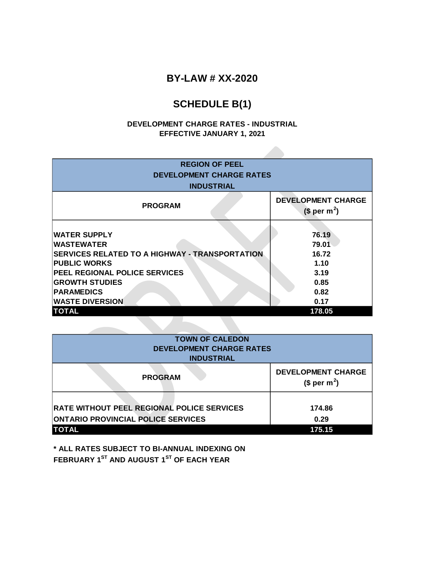# **SCHEDULE B(1)**

### **EFFECTIVE JANUARY 1, 2021 DEVELOPMENT CHARGE RATES - INDUSTRIAL**

| <b>REGION OF PEEL</b><br><b>DEVELOPMENT CHARGE RATES</b><br><b>INDUSTRIAL</b> |                                          |  |  |
|-------------------------------------------------------------------------------|------------------------------------------|--|--|
|                                                                               |                                          |  |  |
| <b>PROGRAM</b>                                                                | <b>DEVELOPMENT CHARGE</b><br>$$per m2$ ) |  |  |
|                                                                               |                                          |  |  |
| <b>WATER SUPPLY</b>                                                           | 76.19                                    |  |  |
| <b>WASTEWATER</b>                                                             | 79.01                                    |  |  |
| <b>SERVICES RELATED TO A HIGHWAY - TRANSPORTATION</b>                         | 16.72                                    |  |  |
| <b>PUBLIC WORKS</b>                                                           | 1.10                                     |  |  |
| PEEL REGIONAL POLICE SERVICES                                                 | 3.19                                     |  |  |
| <b>GROWTH STUDIES</b>                                                         | 0.85                                     |  |  |
| <b>PARAMEDICS</b>                                                             | 0.82                                     |  |  |
| <b>WASTE DIVERSION</b>                                                        | 0.17                                     |  |  |
| <b>TOTAL</b>                                                                  | 178.05                                   |  |  |

| <b>TOWN OF CALEDON</b><br><b>DEVELOPMENT CHARGE RATES</b><br><b>INDUSTRIAL</b>                 |                |  |  |
|------------------------------------------------------------------------------------------------|----------------|--|--|
| <b>DEVELOPMENT CHARGE</b><br><b>PROGRAM</b><br>(\$ per m <sup>2</sup> )                        |                |  |  |
| <b>RATE WITHOUT PEEL REGIONAL POLICE SERVICES</b><br><b>ONTARIO PROVINCIAL POLICE SERVICES</b> | 174.86<br>0.29 |  |  |
| <b>TOTAL</b>                                                                                   | 175.15         |  |  |

**\* ALL RATES SUBJECT TO BI-ANNUAL INDEXING ON FEBRUARY 1ST AND AUGUST 1ST OF EACH YEAR**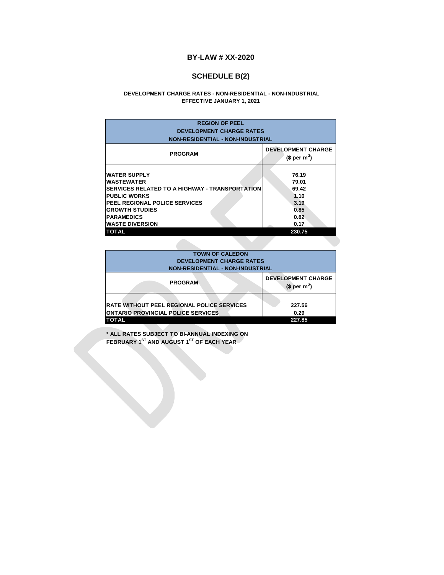## **SCHEDULE B(2)**

#### **EFFECTIVE JANUARY 1, 2021 DEVELOPMENT CHARGE RATES - NON-RESIDENTIAL - NON-INDUSTRIAL**

| <b>REGION OF PEEL</b><br><b>DEVELOPMENT CHARGE RATES</b><br><b>NON-RESIDENTIAL - NON-INDUSTRIAL</b>                                                                                                                                                      |                                                                           |  |  |
|----------------------------------------------------------------------------------------------------------------------------------------------------------------------------------------------------------------------------------------------------------|---------------------------------------------------------------------------|--|--|
| <b>PROGRAM</b>                                                                                                                                                                                                                                           | <b>DEVELOPMENT CHARGE</b><br>$$per m2$ )                                  |  |  |
| <b>WATER SUPPLY</b><br><b>WASTEWATER</b><br><b>SERVICES RELATED TO A HIGHWAY - TRANSPORTATION</b><br><b>PUBLIC WORKS</b><br><b>PEEL REGIONAL POLICE SERVICES</b><br><b>GROWTH STUDIES</b><br><b>PARAMEDICS</b><br><b>WASTE DIVERSION</b><br><b>TOTAL</b> | 76.19<br>79.01<br>69.42<br>1.10<br>3.19<br>0.85<br>0.82<br>0.17<br>230.75 |  |  |

| <b>TOWN OF CALEDON</b>                                     |        |  |  |
|------------------------------------------------------------|--------|--|--|
| <b>DEVELOPMENT CHARGE RATES</b>                            |        |  |  |
| <b>NON-RESIDENTIAL - NON-INDUSTRIAL</b>                    |        |  |  |
| <b>DEVELOPMENT CHARGE</b><br><b>PROGRAM</b><br>$$per m2$ ) |        |  |  |
|                                                            |        |  |  |
| <b>RATE WITHOUT PEEL REGIONAL POLICE SERVICES</b>          | 227.56 |  |  |
| <b>ONTARIO PROVINCIAL POLICE SERVICES</b>                  | 0.29   |  |  |
| <b>TOTAL</b>                                               | 227.85 |  |  |

**\* ALL RATES SUBJECT TO BI-ANNUAL INDEXING ON FEBRUARY 1ST AND AUGUST 1ST OF EACH YEAR**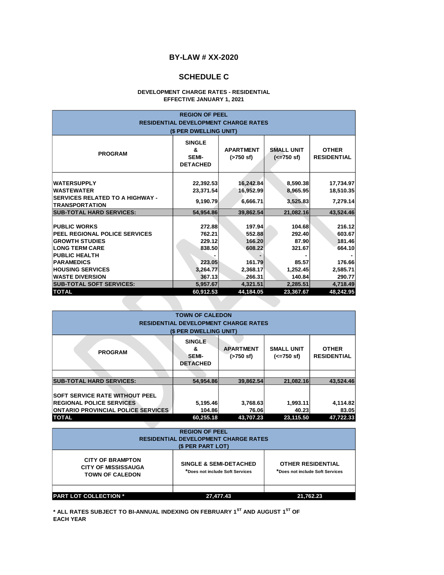## **SCHEDULE C**

#### **DEVELOPMENT CHARGE RATES - RESIDENTIAL EFFECTIVE JANUARY 1, 2021**

| <b>REGION OF PEEL</b>                                                             |                                                       |                               |                                           |                                    |
|-----------------------------------------------------------------------------------|-------------------------------------------------------|-------------------------------|-------------------------------------------|------------------------------------|
|                                                                                   | <b>RESIDENTIAL DEVELOPMENT CHARGE RATES</b>           |                               |                                           |                                    |
|                                                                                   | (\$ PER DWELLING UNIT)                                |                               |                                           |                                    |
| <b>PROGRAM</b>                                                                    | <b>SINGLE</b><br>&<br><b>SEMI-</b><br><b>DETACHED</b> | <b>APARTMENT</b><br>(>750 sf) | <b>SMALL UNIT</b><br>$(<=750 \text{ sf})$ | <b>OTHER</b><br><b>RESIDENTIAL</b> |
| <b>WATERSUPPLY</b><br><b>WASTEWATER</b><br><b>SERVICES RELATED TO A HIGHWAY -</b> | 22,392.53<br>23,371.54                                | 16,242.84<br>16,952.99        | 8,590.38<br>8,965.95                      | 17,734.97<br>18,510.35             |
| <b>TRANSPORTATION</b>                                                             | 9,190.79                                              | 6,666.71                      | 3,525.83                                  | 7,279.14                           |
| <b>SUB-TOTAL HARD SERVICES:</b>                                                   | 54,954.86                                             | 39,862.54                     | 21,082.16                                 | 43,524.46                          |
| <b>PUBLIC WORKS</b><br><b>PEEL REGIONAL POLICE SERVICES</b>                       | 272.88<br>762.21                                      | 197.94<br>552.88              | 104.68<br>292.40                          | 216.12<br>603.67                   |
| <b>GROWTH STUDIES</b>                                                             | 229.12                                                | 166.20                        | 87.90                                     | 181.46                             |
| <b>LONG TERM CARE</b><br><b>PUBLIC HEALTH</b>                                     | 838.50                                                | 608.22                        | 321.67                                    | 664.10                             |
| <b>PARAMEDICS</b>                                                                 | 223.05                                                | 161.79                        | 85.57                                     | 176.66                             |
| <b>HOUSING SERVICES</b>                                                           | 3,264.77                                              | 2,368.17                      | 1,252.45                                  | 2,585.71                           |
| <b>WASTE DIVERSION</b>                                                            | 367.13                                                | 266.31                        | 140.84                                    | 290.77                             |
| <b>SUB-TOTAL SOFT SERVICES:</b>                                                   | 5,957.67                                              | 4,321.51                      | 2,285.51                                  | 4,718.49                           |
| <b>TOTAL</b>                                                                      | 60,912.53                                             | 44,184.05                     | 23,367.67                                 | 48,242.95                          |

| <b>TOWN OF CALEDON</b>                                                                                                                                                                   |                                             |                   |                   |                   |
|------------------------------------------------------------------------------------------------------------------------------------------------------------------------------------------|---------------------------------------------|-------------------|-------------------|-------------------|
|                                                                                                                                                                                          | <b>RESIDENTIAL DEVELOPMENT CHARGE RATES</b> |                   |                   |                   |
|                                                                                                                                                                                          | (\$ PER DWELLING UNIT)                      |                   |                   |                   |
| <b>SINGLE</b><br><b>APARTMENT</b><br><b>SMALL UNIT</b><br><b>OTHER</b><br>&<br><b>PROGRAM</b><br><b>RESIDENTIAL</b><br>SEMI-<br>$( > 750 \text{ sf})$<br>$(<=750$ sf)<br><b>DETACHED</b> |                                             |                   |                   |                   |
|                                                                                                                                                                                          |                                             |                   |                   |                   |
| <b>SUB-TOTAL HARD SERVICES:</b>                                                                                                                                                          | 54.954.86                                   | 39.862.54         | 21,082.16         | 43.524.46         |
| <b>SOFT SERVICE RATE WITHOUT PEEL</b><br><b>REGIONAL POLICE SERVICES</b><br><b>ONTARIO PROVINCIAL POLICE SERVICES</b>                                                                    | 5,195.46<br>104.86                          | 3,768.63<br>76.06 | 1,993.11<br>40.23 | 4,114.82<br>83.05 |
| <b>TOTAL</b>                                                                                                                                                                             | 60.255.18                                   | 43,707.23         | 23,115.50         | 47.722.33         |
|                                                                                                                                                                                          |                                             |                   |                   |                   |

| <b>REGION OF PEEL</b><br><b>RESIDENTIAL DEVELOPMENT CHARGE RATES</b><br>(\$ PER PART LOT)                                                                                                                              |           |           |  |  |
|------------------------------------------------------------------------------------------------------------------------------------------------------------------------------------------------------------------------|-----------|-----------|--|--|
| <b>CITY OF BRAMPTON</b><br><b>SINGLE &amp; SEMI-DETACHED</b><br><b>OTHER RESIDENTIAL</b><br><b>CITY OF MISSISSAUGA</b><br>*Does not include Soft Services<br>*Does not include Soft Services<br><b>TOWN OF CALEDON</b> |           |           |  |  |
|                                                                                                                                                                                                                        |           |           |  |  |
| <b>PART LOT COLLECTION *</b>                                                                                                                                                                                           | 27,477.43 | 21,762.23 |  |  |

**\* ALL RATES SUBJECT TO BI-ANNUAL INDEXING ON FEBRUARY 1ST AND AUGUST 1ST OF EACH YEAR**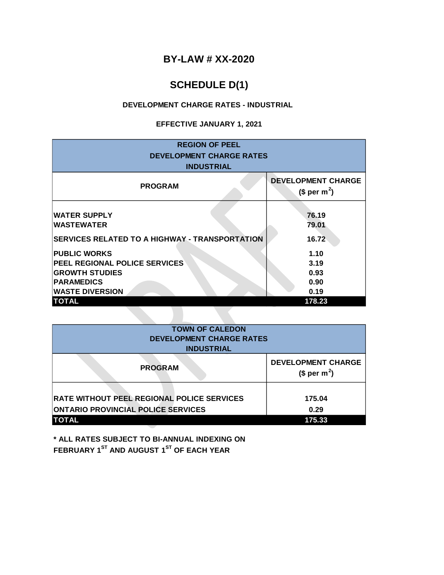# **SCHEDULE D(1)**

## **DEVELOPMENT CHARGE RATES - INDUSTRIAL**

## **EFFECTIVE JANUARY 1, 2021**

| <b>REGION OF PEEL</b><br><b>DEVELOPMENT CHARGE RATES</b><br><b>INDUSTRIAL</b> |                                                       |
|-------------------------------------------------------------------------------|-------------------------------------------------------|
| <b>PROGRAM</b>                                                                | <b>DEVELOPMENT CHARGE</b><br>(\$ per m <sup>2</sup> ) |
| <b>WATER SUPPLY</b><br><b>WASTEWATER</b>                                      | 76.19<br>79.01                                        |
| <b>SERVICES RELATED TO A HIGHWAY - TRANSPORTATION</b>                         | 16.72                                                 |
| <b>PUBLIC WORKS</b>                                                           | 1.10                                                  |
| PEEL REGIONAL POLICE SERVICES                                                 | 3.19                                                  |
| <b>GROWTH STUDIES</b>                                                         | 0.93                                                  |
| <b>PARAMEDICS</b>                                                             | 0.90                                                  |
| <b>WASTE DIVERSION</b>                                                        | 0.19                                                  |
| <b>TOTAL</b>                                                                  | 178.23                                                |
|                                                                               |                                                       |

| <b>TOWN OF CALEDON</b><br><b>DEVELOPMENT CHARGE RATES</b><br><b>INDUSTRIAL</b>                 |                                                       |  |
|------------------------------------------------------------------------------------------------|-------------------------------------------------------|--|
| <b>PROGRAM</b>                                                                                 | <b>DEVELOPMENT CHARGE</b><br>$$$ per m <sup>2</sup> ) |  |
| <b>RATE WITHOUT PEEL REGIONAL POLICE SERVICES</b><br><b>ONTARIO PROVINCIAL POLICE SERVICES</b> | 175.04<br>0.29                                        |  |
| <b>TOTAL</b>                                                                                   | 175.33                                                |  |

**\* ALL RATES SUBJECT TO BI-ANNUAL INDEXING ON FEBRUARY 1ST AND AUGUST 1ST OF EACH YEAR**